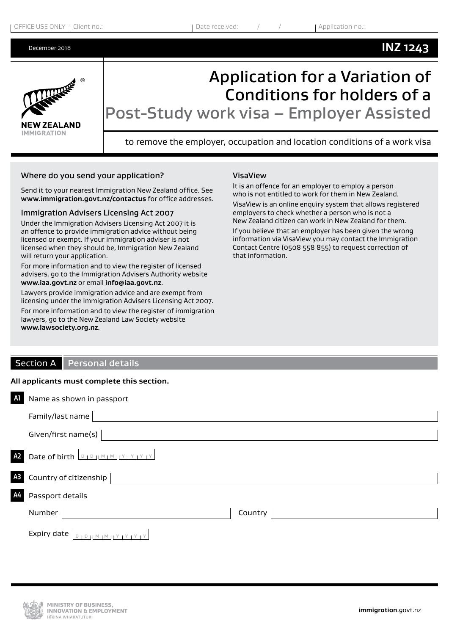# **INZ 1243**



Application for a Variation of Conditions for holders of a Post-Study work visa – Employer Assisted

to remove the employer, occupation and location conditions of a work visa

### Where do you send your application?

Send it to your nearest Immigration New Zealand office. See **[www.immigration.govt.nz/contactus](https://www.immigration.govt.nzwww.immigration.govt.nz/contactus)** for office addresses.

#### Immigration Advisers Licensing Act 2007

Under the Immigration Advisers Licensing Act 2007 it is an offence to provide immigration advice without being licensed or exempt. If your immigration adviser is not licensed when they should be, Immigration New Zealand will return your application.

For more information and to view the register of licensed advisers, go to the Immigration Advisers Authority website **[www.iaa.govt.nz](https://www.immigration.govt.nzwww.iaa.govt.nz)** or email **[info@iaa.govt.nz](mailto:info@iaa.govt.nz)**.

Lawyers provide immigration advice and are exempt from licensing under the Immigration Advisers Licensing Act 2007.

For more information and to view the register of immigration lawyers, go to the New Zealand Law Society website **[www.lawsociety.org.nz](https://www.immigration.govt.nzwww.lawsociety.org.nz)**.

### VisaView

It is an offence for an employer to employ a person who is not entitled to work for them in New Zealand.

VisaView is an online enquiry system that allows registered employers to check whether a person who is not a New Zealand citizen can work in New Zealand for them.

If you believe that an employer has been given the wrong information via VisaView you may contact the Immigration Contact Centre (0508 558 855) to request correction of that information.

# Section A Personal details

#### **All applicants must complete this section.**

| AI | Name as shown in passport                |
|----|------------------------------------------|
|    | Family/last name                         |
|    | Given/first name(s)                      |
|    | A2 Date of birth <b>DIDIMIMILY IY IY</b> |
|    | A3 Country of citizenship                |
| A4 | Passport details                         |
|    | Number<br>Country                        |
|    | Expiry date                              |

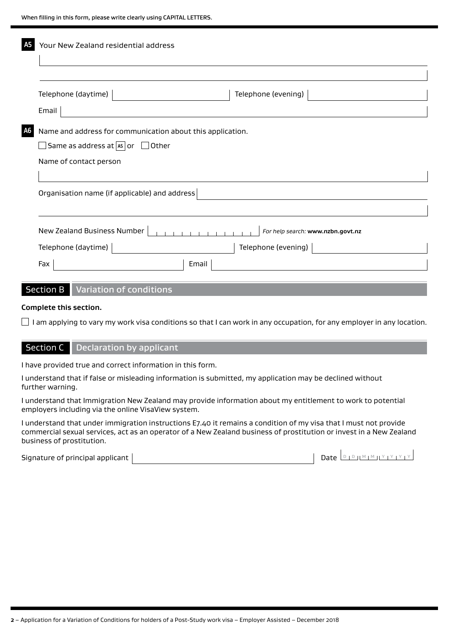|      | Your New Zealand residential address                             |  |  |  |  |
|------|------------------------------------------------------------------|--|--|--|--|
|      |                                                                  |  |  |  |  |
|      | Telephone (evening)<br>Telephone (daytime)                       |  |  |  |  |
|      | Email                                                            |  |  |  |  |
| A6 I | Name and address for communication about this application.       |  |  |  |  |
|      | $\Box$ Same as address at $\boxed{45}$ or $\Box$ Other           |  |  |  |  |
|      | Name of contact person                                           |  |  |  |  |
|      |                                                                  |  |  |  |  |
|      | Organisation name (if applicable) and address                    |  |  |  |  |
|      |                                                                  |  |  |  |  |
|      | New Zealand Business Number<br>For help search: www.nzbn.govt.nz |  |  |  |  |
|      | Telephone (daytime)<br>Telephone (evening)                       |  |  |  |  |
|      | Email<br>Fax                                                     |  |  |  |  |
|      |                                                                  |  |  |  |  |
|      | <b>Section B</b><br><b>Variation of conditions</b>               |  |  |  |  |

#### **Complete this section.**

 $\Box$  I am applying to vary my work visa conditions so that I can work in any occupation, for any employer in any location.

# Section C Declaration by applicant

I have provided true and correct information in this form.

I understand that if false or misleading information is submitted, my application may be declined without further warning.

I understand that Immigration New Zealand may provide information about my entitlement to work to potential employers including via the online VisaView system.

I understand that under immigration instructions E7.40 it remains a condition of my visa that I must not provide commercial sexual services, act as an operator of a New Zealand business of prostitution or invest in a New Zealand business of prostitution.

Signature of principal applicant Date <sup>D</sup> <sup>D</sup> <sup>M</sup> <sup>M</sup> <sup>Y</sup> <sup>Y</sup> <sup>Y</sup> <sup>Y</sup>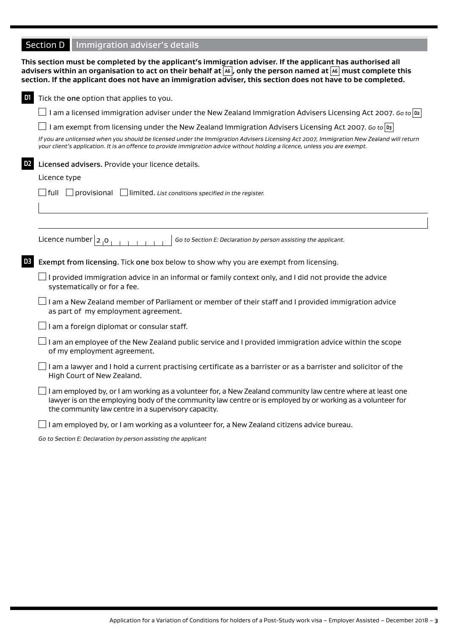# **Section D** Immigration adviser's details

|                | This section must be completed by the applicant's immigration adviser. If the applicant has authorised all<br>advisers within an organisation to act on their behalf at $\overline{^{[{\bf k}]}},$ only the person named at $\overline{^{[{\bf k}]} }$ must complete this<br>section. If the applicant does not have an immigration adviser, this section does not have to be completed. |
|----------------|------------------------------------------------------------------------------------------------------------------------------------------------------------------------------------------------------------------------------------------------------------------------------------------------------------------------------------------------------------------------------------------|
| D1             | Tick the one option that applies to you.                                                                                                                                                                                                                                                                                                                                                 |
|                | I am a licensed immigration adviser under the New Zealand Immigration Advisers Licensing Act 2007. Go to  D2                                                                                                                                                                                                                                                                             |
|                | I am exempt from licensing under the New Zealand Immigration Advisers Licensing Act 2007. Go to $ v_3 $                                                                                                                                                                                                                                                                                  |
|                | If you are unlicensed when you should be licensed under the Immigration Advisers Licensing Act 2007, Immigration New Zealand will return<br>your client's application. It is an offence to provide immigration advice without holding a licence, unless you are exempt.                                                                                                                  |
| D <sub>2</sub> | Licensed advisers. Provide your licence details.                                                                                                                                                                                                                                                                                                                                         |
|                | Licence type                                                                                                                                                                                                                                                                                                                                                                             |
|                | $\lceil$ full $\lceil$ provisional<br>$\Box$ limited. List conditions specified in the register.                                                                                                                                                                                                                                                                                         |
|                |                                                                                                                                                                                                                                                                                                                                                                                          |
|                |                                                                                                                                                                                                                                                                                                                                                                                          |
|                | Licence number $ 2,0$<br>Go to Section E: Declaration by person assisting the applicant.                                                                                                                                                                                                                                                                                                 |
| D <sub>3</sub> | Exempt from licensing. Tick one box below to show why you are exempt from licensing.                                                                                                                                                                                                                                                                                                     |
|                | $\perp$ I provided immigration advice in an informal or family context only, and I did not provide the advice<br>systematically or for a fee.                                                                                                                                                                                                                                            |
|                | I am a New Zealand member of Parliament or member of their staff and I provided immigration advice<br>as part of my employment agreement.                                                                                                                                                                                                                                                |
|                | I am a foreign diplomat or consular staff.                                                                                                                                                                                                                                                                                                                                               |
|                | I am an employee of the New Zealand public service and I provided immigration advice within the scope<br>of my employment agreement.                                                                                                                                                                                                                                                     |
|                | I am a lawyer and I hold a current practising certificate as a barrister or as a barrister and solicitor of the<br>High Court of New Zealand.                                                                                                                                                                                                                                            |
|                | I am employed by, or I am working as a volunteer for, a New Zealand community law centre where at least one<br>lawyer is on the employing body of the community law centre or is employed by or working as a volunteer for<br>the community law centre in a supervisory capacity.                                                                                                        |
|                |                                                                                                                                                                                                                                                                                                                                                                                          |

 $\Box$  I am employed by, or I am working as a volunteer for, a New Zealand citizens advice bureau.

*Go to Section E: Declaration by person assisting the applicant*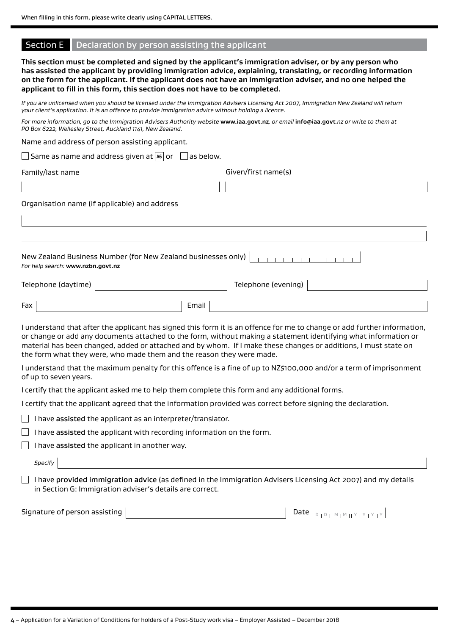|  |  | Section E   Declaration by person assisting the applicant |  |
|--|--|-----------------------------------------------------------|--|
|--|--|-----------------------------------------------------------|--|

|                                                          | applicant to fill in this form, this section does not have to be completed.                          |       |                     | This section must be completed and signed by the applicant's immigration adviser, or by any person who<br>has assisted the applicant by providing immigration advice, explaining, translating, or recording information<br>on the form for the applicant. If the applicant does not have an immigration adviser, and no one helped the                         |  |
|----------------------------------------------------------|------------------------------------------------------------------------------------------------------|-------|---------------------|----------------------------------------------------------------------------------------------------------------------------------------------------------------------------------------------------------------------------------------------------------------------------------------------------------------------------------------------------------------|--|
|                                                          | your client's application. It is an offence to provide immigration advice without holding a licence. |       |                     | If you are unlicensed when you should be licensed under the Immigration Advisers Licensing Act 2007, Immigration New Zealand will return                                                                                                                                                                                                                       |  |
|                                                          | PO Box 6222, Wellesley Street, Auckland 1141, New Zealand.                                           |       |                     | For more information, go to the Immigration Advisers Authority website www.iaa.govt.nz, or email info@iaa.govt.nz or write to them at                                                                                                                                                                                                                          |  |
|                                                          | Name and address of person assisting applicant.                                                      |       |                     |                                                                                                                                                                                                                                                                                                                                                                |  |
|                                                          | $\Box$ Same as name and address given at $\boxed{\mathsf{as}}$ or $\Box$ as below.                   |       |                     |                                                                                                                                                                                                                                                                                                                                                                |  |
| Family/last name                                         |                                                                                                      |       | Given/first name(s) |                                                                                                                                                                                                                                                                                                                                                                |  |
|                                                          |                                                                                                      |       |                     |                                                                                                                                                                                                                                                                                                                                                                |  |
|                                                          | Organisation name (if applicable) and address                                                        |       |                     |                                                                                                                                                                                                                                                                                                                                                                |  |
|                                                          |                                                                                                      |       |                     |                                                                                                                                                                                                                                                                                                                                                                |  |
|                                                          |                                                                                                      |       |                     |                                                                                                                                                                                                                                                                                                                                                                |  |
| For help search: www.nzbn.govt.nz<br>Telephone (daytime) | New Zealand Business Number (for New Zealand businesses only)                                        |       | Telephone (evening) |                                                                                                                                                                                                                                                                                                                                                                |  |
| Fax                                                      |                                                                                                      | Email |                     |                                                                                                                                                                                                                                                                                                                                                                |  |
|                                                          | the form what they were, who made them and the reason they were made.                                |       |                     | I understand that after the applicant has signed this form it is an offence for me to change or add further information,<br>or change or add any documents attached to the form, without making a statement identifying what information or<br>material has been changed, added or attached and by whom. If I make these changes or additions, I must state on |  |
| of up to seven years.                                    |                                                                                                      |       |                     | I understand that the maximum penalty for this offence is a fine of up to NZ\$100,000 and/or a term of imprisonment                                                                                                                                                                                                                                            |  |
|                                                          | I certify that the applicant asked me to help them complete this form and any additional forms.      |       |                     |                                                                                                                                                                                                                                                                                                                                                                |  |
|                                                          |                                                                                                      |       |                     | I certify that the applicant agreed that the information provided was correct before signing the declaration.                                                                                                                                                                                                                                                  |  |
|                                                          | I have assisted the applicant as an interpreter/translator.                                          |       |                     |                                                                                                                                                                                                                                                                                                                                                                |  |
|                                                          | I have assisted the applicant with recording information on the form.                                |       |                     |                                                                                                                                                                                                                                                                                                                                                                |  |
|                                                          | I have assisted the applicant in another way.                                                        |       |                     |                                                                                                                                                                                                                                                                                                                                                                |  |
| Specify                                                  |                                                                                                      |       |                     |                                                                                                                                                                                                                                                                                                                                                                |  |
|                                                          | in Section G: Immigration adviser's details are correct.                                             |       |                     | I have provided immigration advice (as defined in the Immigration Advisers Licensing Act 2007) and my details                                                                                                                                                                                                                                                  |  |
| Signature of person assisting                            |                                                                                                      |       |                     | Date $ $<br>$D + D + [M + M + Y + Y + Y + Y]$                                                                                                                                                                                                                                                                                                                  |  |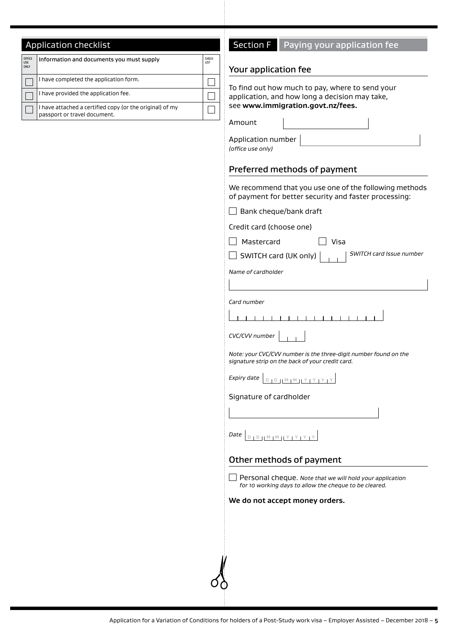# **Application checklist**

| OFFICE<br><b>USE</b><br><b>ONLY</b> | Information and documents you must supply                                                | <b>CHECK</b><br>LIST |
|-------------------------------------|------------------------------------------------------------------------------------------|----------------------|
|                                     | I have completed the application form.                                                   |                      |
|                                     | I have provided the application fee.                                                     |                      |
|                                     | I have attached a certified copy (or the original) of my<br>passport or travel document. |                      |

# Section F Paying your application fee

### Your application fee

To find out how much to pay, where to send your application, and how long a decision may take, see **www.immigration.govt.nz/fees.**

Amount

| Application number |
|--------------------|
| (office use only)  |

# Preferred methods of payment

We recommend that you use one of the following methods of payment for better security and faster processing:

| $\cdots$ . $\cdots$ because because, $\cdots$                                                                        |
|----------------------------------------------------------------------------------------------------------------------|
| $\Box$ Bank cheque/bank draft                                                                                        |
| Credit card (choose one)                                                                                             |
| Mastercard<br>Visa                                                                                                   |
| SWITCH card Issue number<br>$\Box$ SWITCH card (UK only) $\vert$                                                     |
| Name of cardholder                                                                                                   |
|                                                                                                                      |
| Card number                                                                                                          |
|                                                                                                                      |
| $CVC/CVV$ number $ $                                                                                                 |
| Note: your CVC/CVV number is the three-digit number found on the<br>signature strip on the back of your credit card. |
| Expiry date $\boxed{D + D +  M + M  + Y + Y + Y}$                                                                    |
| Signature of cardholder                                                                                              |
|                                                                                                                      |
|                                                                                                                      |
| Other methods of payment                                                                                             |
| Personal cheque. Note that we will hold your application<br>for 10 working days to allow the cheque to be cleared.   |

# **We do not accept money orders.**